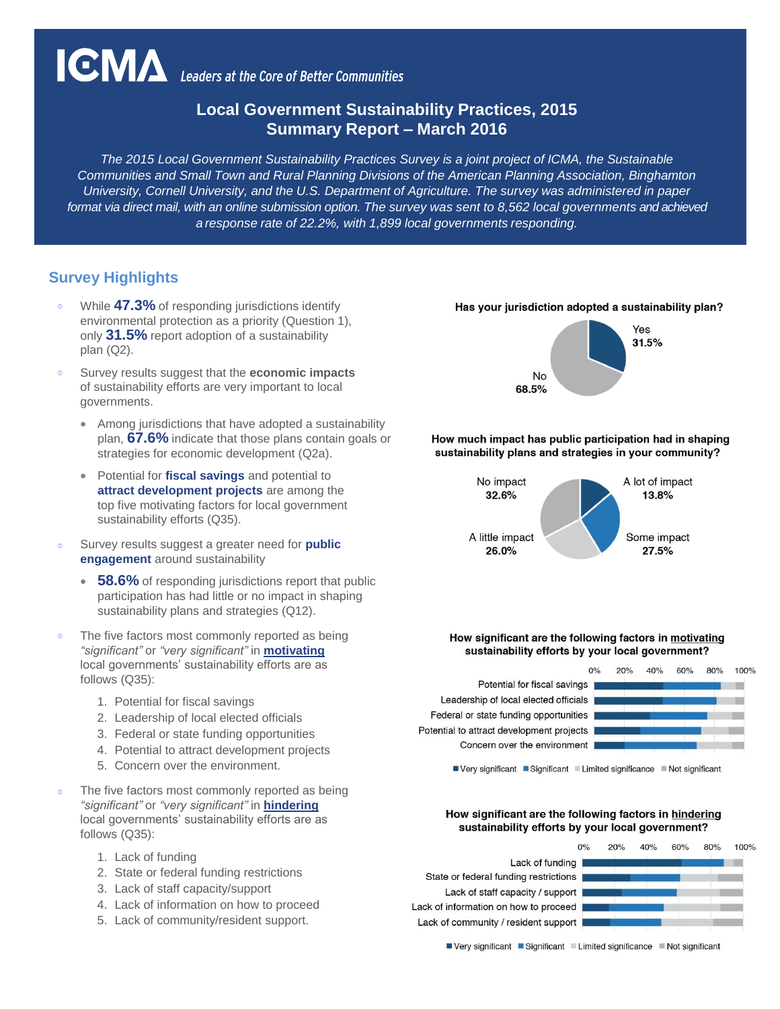# **IGMA** Leaders at the Core of Better Communities

# **Local Government Sustainability Practices, 2015 Summary Report – March 2016**

*The 2015 Local Government Sustainability Practices Survey is a joint project of ICMA, the Sustainable Communities and Small Town and Rural Planning Divisions of the American Planning Association, Binghamton University, Cornell University, and the U.S. Department of Agriculture. The survey was administered in paper format via direct mail, with an online submission option. The survey was sent to 8,562 local governments and achieved a response rate of 22.2%, with 1,899 local governments responding.*

# **Survey Highlights**

- While **47.3%** of responding jurisdictions identify environmental protection as a priority (Question 1), only **31.5%** report adoption of a sustainability plan (Q2).
- Survey results suggest that the **economic impacts** of sustainability efforts are very important to local governments.
	- Among jurisdictions that have adopted a sustainability plan, **67.6%** indicate that those plans contain goals or strategies for economic development (Q2a).
	- Potential for **fiscal savings** and potential to **attract development projects** are among the top five motivating factors for local government sustainability efforts (Q35).
- Survey results suggest a greater need for **public engagement** around sustainability
	- **58.6%** of responding jurisdictions report that public participation has had little or no impact in shaping sustainability plans and strategies (Q12).
- The five factors most commonly reported as being *"significant"* or *"very significant"* in **motivating** local governments' sustainability efforts are as follows (Q35):
	- 1. Potential for fiscal savings
	- 2. Leadership of local elected officials
	- 3. Federal or state funding opportunities
	- 4. Potential to attract development projects
	- 5. Concern over the environment.
- The five factors most commonly reported as being *"significant"* or *"very significant"* in **hindering** local governments' sustainability efforts are as follows (Q35):
	- 1. Lack of funding
	- 2. State or federal funding restrictions
	- 3. Lack of staff capacity/support
	- 4. Lack of information on how to proceed
	- 5. Lack of community/resident support.





How much impact has public participation had in shaping sustainability plans and strategies in your community?



#### How significant are the following factors in motivating sustainability efforts by your local government?

Potential for fiscal savings Leadership of local elected officials Federal or state funding opportunities Potential to attract development projects Concern over the environment



■ Very significant ■ Significant ■ Limited significance ■ Not significant

#### How significant are the following factors in hindering sustainability efforts by your local government?

Lack of funding State or federal funding restrictions Lack of staff capacity / support Lack of information on how to proceed Lack of community / resident support |



■ Very significant ■ Significant ■ Limited significance ■ Not significant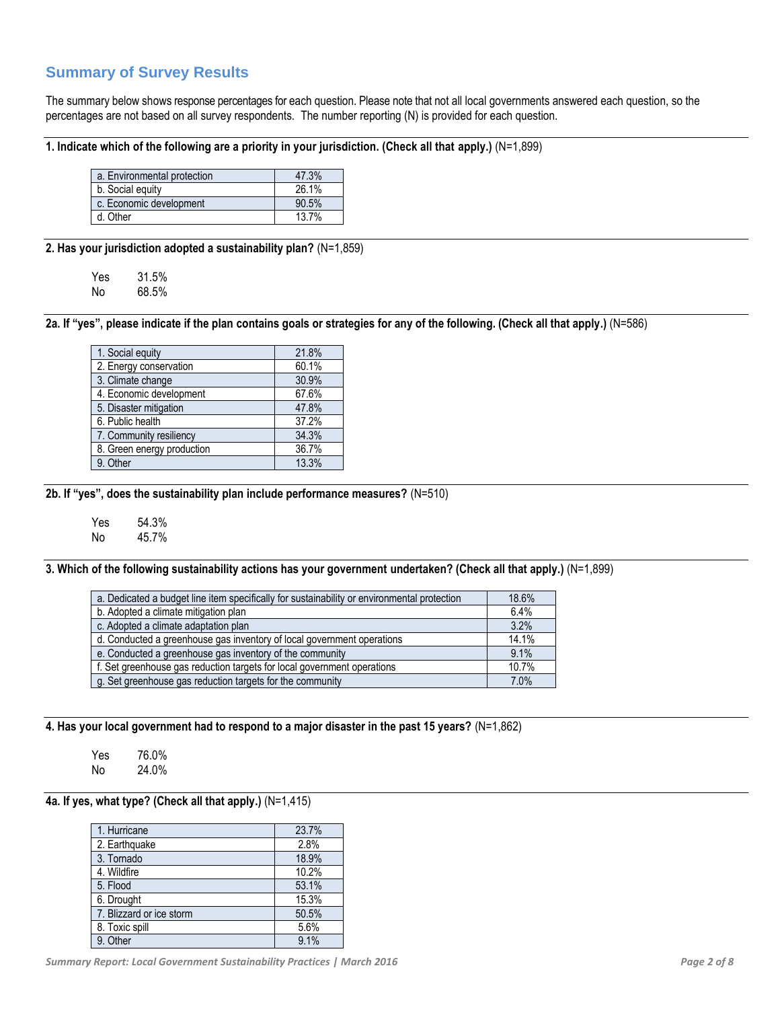# **Summary of Survey Results**

The summary below shows response percentages for each question. Please note that not all local governments answered each question, so the percentages are not based on all survey respondents. The number reporting (N) is provided for each question.

#### **1. Indicate which of the following are a priority in your jurisdiction. (Check all that apply.)** (N=1,899)

| a. Environmental protection | 47.3% |
|-----------------------------|-------|
| b. Social equity            | 26.1% |
| c. Economic development     | 90.5% |
| d. Other                    | 137%  |

**2. Has your jurisdiction adopted a sustainability plan?** (N=1,859)

| Yes | 31.5% |
|-----|-------|
| No  | 68.5% |

**2a. If "yes", please indicate if the plan contains goals or strategies for any of the following. (Check all that apply.)** (N=586)

| 21.8% |
|-------|
| 60.1% |
| 30.9% |
| 67.6% |
| 47.8% |
| 37.2% |
| 34.3% |
| 36.7% |
| 13.3% |
|       |

**2b. If "yes", does the sustainability plan include performance measures?** (N=510)

Yes 54.3% No 45.7%

**3. Which of the following sustainability actions has your government undertaken? (Check all that apply.)** (N=1,899)

| a. Dedicated a budget line item specifically for sustainability or environmental protection | 18.6% |
|---------------------------------------------------------------------------------------------|-------|
| b. Adopted a climate mitigation plan                                                        | 6.4%  |
| c. Adopted a climate adaptation plan                                                        | 3.2%  |
| d. Conducted a greenhouse gas inventory of local government operations                      | 14.1% |
| e. Conducted a greenhouse gas inventory of the community                                    | 9.1%  |
| f. Set greenhouse gas reduction targets for local government operations                     | 10.7% |
| g. Set greenhouse gas reduction targets for the community                                   | 7.0%  |

**4. Has your local government had to respond to a major disaster in the past 15 years?** (N=1,862)

Yes 76.0% No 24.0%

#### **4a. If yes, what type? (Check all that apply.)** (N=1,415)

| 1. Hurricane             | 23.7% |
|--------------------------|-------|
| 2. Earthquake            | 2.8%  |
| 3. Tornado               | 18.9% |
| 4. Wildfire              | 10.2% |
| 5. Flood                 | 53.1% |
| 6. Drought               | 15.3% |
| 7. Blizzard or ice storm | 50.5% |
| 8. Toxic spill           | 5.6%  |
| 9. Other                 | 9.1%  |

*Summary Report: Local Government Sustainability Practices | March 2016 Page 2 of 8*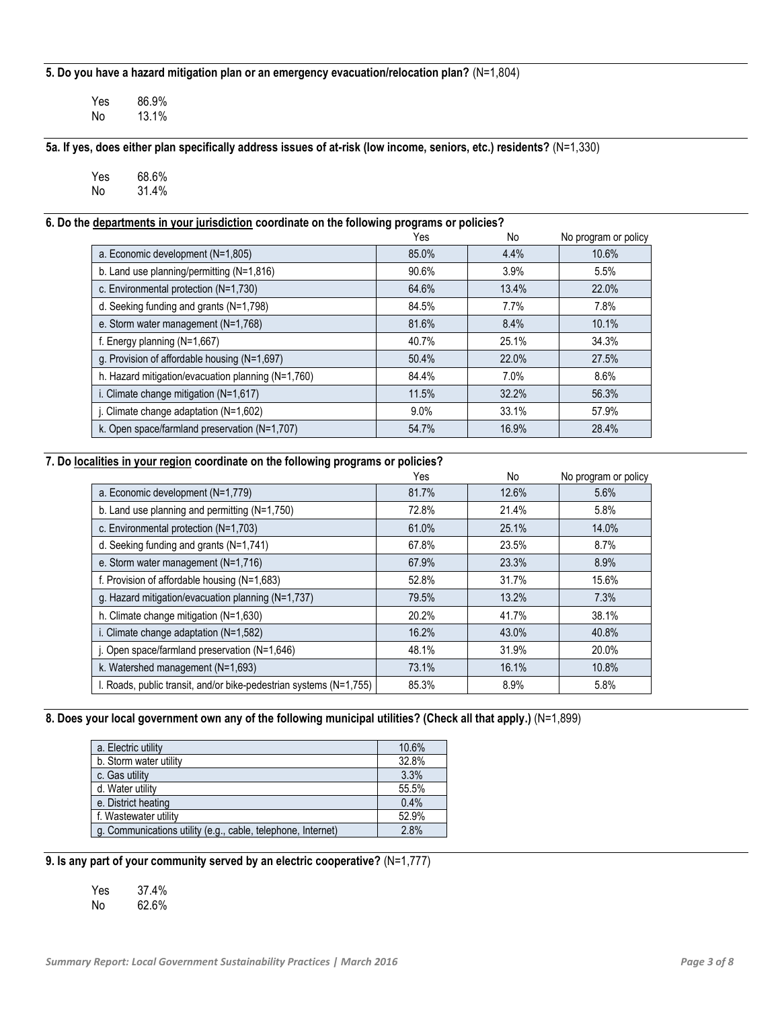**5. Do you have a hazard mitigation plan or an emergency evacuation/relocation plan?** (N=1,804)

Yes 86.9%<br>No 13.1% No 13.1%

**5a. If yes, does either plan specifically address issues of at-risk (low income, seniors, etc.) residents?** (N=1,330)

Yes 68.6% No 31.4%

#### **6. Do the departments in your jurisdiction coordinate on the following programs or policies?**

|                                                    | Yes     | No      | No program or policy |
|----------------------------------------------------|---------|---------|----------------------|
| a. Economic development (N=1,805)                  | 85.0%   | 4.4%    | 10.6%                |
| b. Land use planning/permitting (N=1,816)          | 90.6%   | 3.9%    | 5.5%                 |
| c. Environmental protection (N=1,730)              | 64.6%   | 13.4%   | 22.0%                |
| d. Seeking funding and grants (N=1,798)            | 84.5%   | $7.7\%$ | 7.8%                 |
| e. Storm water management (N=1,768)                | 81.6%   | 8.4%    | 10.1%                |
| f. Energy planning (N=1,667)                       | 40.7%   | 25.1%   | 34.3%                |
| g. Provision of affordable housing (N=1,697)       | 50.4%   | 22.0%   | 27.5%                |
| h. Hazard mitigation/evacuation planning (N=1,760) | 84.4%   | $7.0\%$ | 8.6%                 |
| i. Climate change mitigation (N=1,617)             | 11.5%   | 32.2%   | 56.3%                |
| j. Climate change adaptation $(N=1,602)$           | $9.0\%$ | 33.1%   | 57.9%                |
| k. Open space/farmland preservation (N=1,707)      | 54.7%   | 16.9%   | 28.4%                |

#### **7. Do localities in your region coordinate on the following programs or policies?**

|                                                                    | Yes   | No    | No program or policy |
|--------------------------------------------------------------------|-------|-------|----------------------|
| a. Economic development (N=1,779)                                  | 81.7% | 12.6% | 5.6%                 |
| b. Land use planning and permitting (N=1,750)                      | 72.8% | 21.4% | 5.8%                 |
| c. Environmental protection (N=1,703)                              | 61.0% | 25.1% | 14.0%                |
| d. Seeking funding and grants (N=1,741)                            | 67.8% | 23.5% | 8.7%                 |
| e. Storm water management (N=1,716)                                | 67.9% | 23.3% | 8.9%                 |
| f. Provision of affordable housing $(N=1,683)$                     | 52.8% | 31.7% | 15.6%                |
| g. Hazard mitigation/evacuation planning (N=1,737)                 | 79.5% | 13.2% | 7.3%                 |
| h. Climate change mitigation (N=1,630)                             | 20.2% | 41.7% | 38.1%                |
| i. Climate change adaptation (N=1,582)                             | 16.2% | 43.0% | 40.8%                |
| j. Open space/farmland preservation (N=1,646)                      | 48.1% | 31.9% | 20.0%                |
| k. Watershed management (N=1,693)                                  | 73.1% | 16.1% | 10.8%                |
| I. Roads, public transit, and/or bike-pedestrian systems (N=1,755) | 85.3% | 8.9%  | 5.8%                 |

## **8. Does your local government own any of the following municipal utilities? (Check all that apply.)** (N=1,899)

| a. Electric utility                                          | 10.6% |
|--------------------------------------------------------------|-------|
| b. Storm water utility                                       | 32.8% |
| c. Gas utility                                               | 3.3%  |
| d. Water utility                                             | 55.5% |
| e. District heating                                          | 0.4%  |
| f. Wastewater utility                                        | 52.9% |
| g. Communications utility (e.g., cable, telephone, Internet) | 2.8%  |

#### **9. Is any part of your community served by an electric cooperative?** (N=1,777)

| Yes | 37.4% |
|-----|-------|
| No  | 62.6% |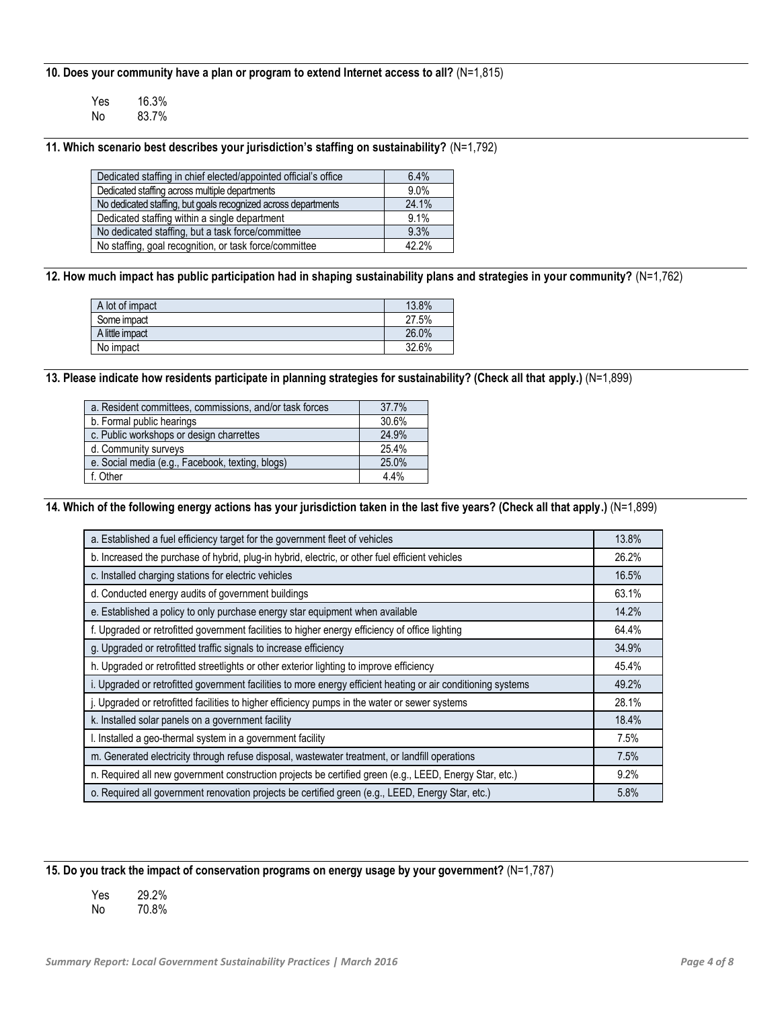**10. Does your community have a plan or program to extend Internet access to all?** (N=1,815)

| Yes | 16.3% |
|-----|-------|
| No  | 83.7% |

**11. Which scenario best describes your jurisdiction's staffing on sustainability?** (N=1,792)

| Dedicated staffing in chief elected/appointed official's office | 6.4%  |
|-----------------------------------------------------------------|-------|
| Dedicated staffing across multiple departments                  | 9.0%  |
| No dedicated staffing, but goals recognized across departments  | 24.1% |
| Dedicated staffing within a single department                   | 9.1%  |
| No dedicated staffing, but a task force/committee               | 9.3%  |
| No staffing, goal recognition, or task force/committee          | 42.2% |

**12. How much impact has public participation had in shaping sustainability plans and strategies in your community?** (N=1,762)

| A lot of impact | 13.8% |
|-----------------|-------|
| Some impact     | 27.5% |
| A little impact | 26.0% |
| No impact       | 32.6% |
|                 |       |

**13. Please indicate how residents participate in planning strategies for sustainability? (Check all that apply.)** (N=1,899)

| a. Resident committees, commissions, and/or task forces | 37.7% |
|---------------------------------------------------------|-------|
| b. Formal public hearings                               | 30.6% |
| c. Public workshops or design charrettes                | 24.9% |
| d. Community surveys                                    | 25.4% |
| e. Social media (e.g., Facebook, texting, blogs)        | 25.0% |
| f. Other                                                | 4.4%  |

**14. Which of the following energy actions has your jurisdiction taken in the last five years? (Check all that apply.)** (N=1,899)

| a. Established a fuel efficiency target for the government fleet of vehicles                                  | 13.8% |
|---------------------------------------------------------------------------------------------------------------|-------|
| b. Increased the purchase of hybrid, plug-in hybrid, electric, or other fuel efficient vehicles               | 26.2% |
| c. Installed charging stations for electric vehicles                                                          | 16.5% |
| d. Conducted energy audits of government buildings                                                            | 63.1% |
| e. Established a policy to only purchase energy star equipment when available                                 | 14.2% |
| f. Upgraded or retrofitted government facilities to higher energy efficiency of office lighting               | 64.4% |
| g. Upgraded or retrofitted traffic signals to increase efficiency                                             | 34.9% |
| h. Upgraded or retrofitted streetlights or other exterior lighting to improve efficiency                      | 45.4% |
| i. Upgraded or retrofitted government facilities to more energy efficient heating or air conditioning systems | 49.2% |
| j. Upgraded or retrofitted facilities to higher efficiency pumps in the water or sewer systems                | 28.1% |
| k. Installed solar panels on a government facility                                                            | 18.4% |
| I. Installed a geo-thermal system in a government facility                                                    | 7.5%  |
| m. Generated electricity through refuse disposal, wastewater treatment, or landfill operations                | 7.5%  |
| n. Required all new government construction projects be certified green (e.g., LEED, Energy Star, etc.)       | 9.2%  |
| o. Required all government renovation projects be certified green (e.g., LEED, Energy Star, etc.)             | 5.8%  |

**15. Do you track the impact of conservation programs on energy usage by your government?** (N=1,787)

| Yes | 29.2% |
|-----|-------|
| No  | 70.8% |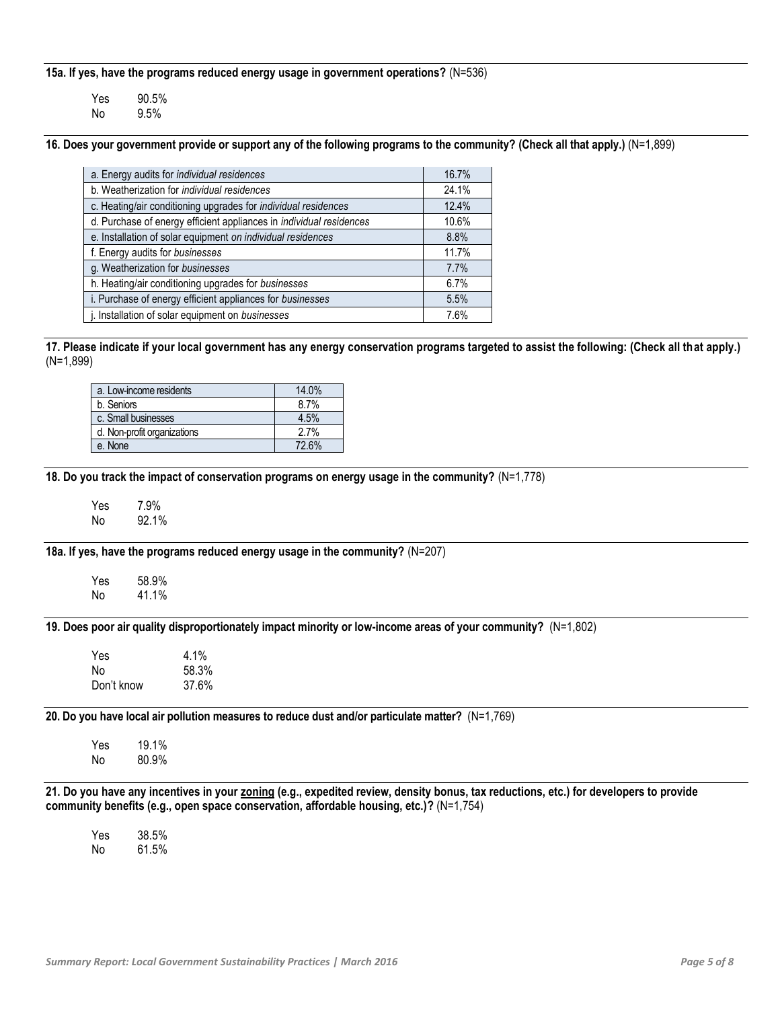**15a. If yes, have the programs reduced energy usage in government operations?** (N=536)

| Yes | 90.5% |
|-----|-------|
| No  | 9.5%  |

**16. Does your government provide or support any of the following programs to the community? (Check all that apply.)** (N=1,899)

| a. Energy audits for individual residences                          | 16.7% |
|---------------------------------------------------------------------|-------|
| b. Weatherization for <i>individual residences</i>                  | 24.1% |
| c. Heating/air conditioning upgrades for individual residences      | 12.4% |
| d. Purchase of energy efficient appliances in individual residences | 10.6% |
| e. Installation of solar equipment on individual residences         | 8.8%  |
| f. Energy audits for businesses                                     | 11.7% |
| g. Weatherization for businesses                                    | 7.7%  |
| h. Heating/air conditioning upgrades for businesses                 | 6.7%  |
| i. Purchase of energy efficient appliances for businesses           | 5.5%  |
| j. Installation of solar equipment on businesses                    | 7.6%  |
|                                                                     |       |

**17. Please indicate if your local government has any energy conservation programs targeted to assist the following: (Check all that apply.)** (N=1,899)

| a. Low-income residents     | 14.0% |
|-----------------------------|-------|
| b. Seniors                  | 8.7%  |
| c. Small businesses         | 4.5%  |
| d. Non-profit organizations | 2.7%  |
| e. None                     | 72.6% |

**18. Do you track the impact of conservation programs on energy usage in the community?** (N=1,778)

Yes 7.9%<br>No 92.1% No 92.1%

**18a. If yes, have the programs reduced energy usage in the community?** (N=207)

Yes 58.9% No 41.1%

**19. Does poor air quality disproportionately impact minority or low-income areas of your community?** (N=1,802)

| <b>Yes</b> | $4.1\%$ |
|------------|---------|
| N٥         | 58.3%   |
| Don't know | 37.6%   |

**20. Do you have local air pollution measures to reduce dust and/or particulate matter?** (N=1,769)

Yes 19.1% No 80.9%

**21. Do you have any incentives in your zoning (e.g., expedited review, density bonus, tax reductions, etc.) for developers to provide community benefits (e.g., open space conservation, affordable housing, etc.)?** (N=1,754)

Yes 38.5% No 61.5%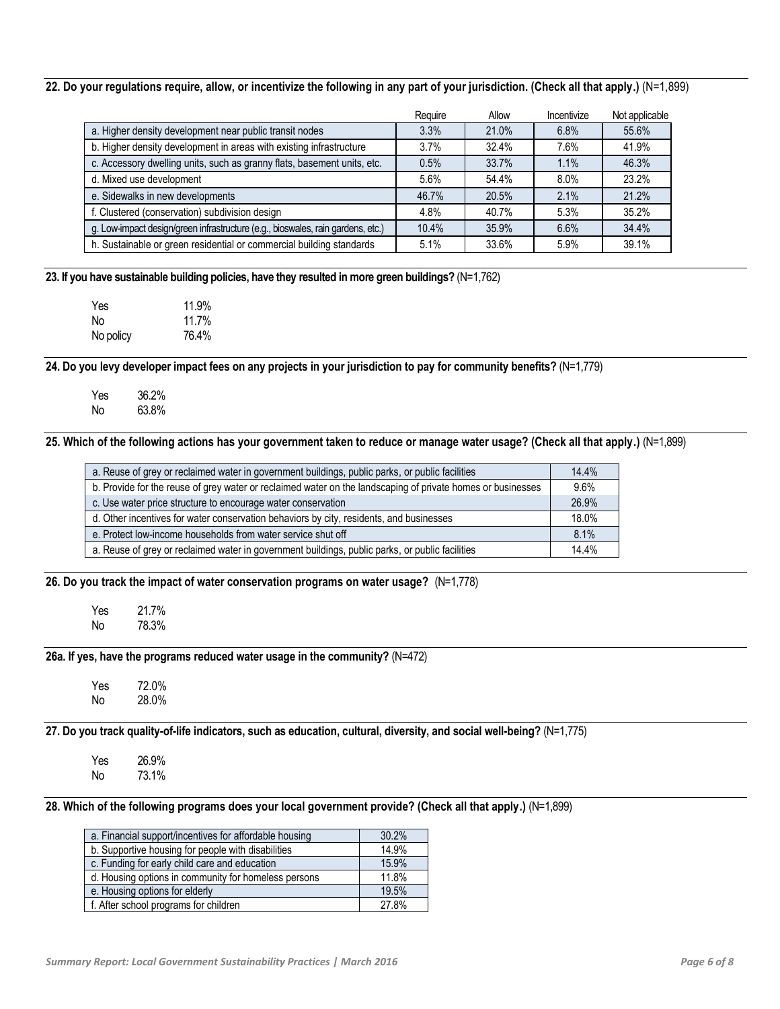#### **22. Do your regulations require, allow, or incentivize the following in any part of your jurisdiction. (Check all that apply.)** (N=1,899)

|                                                                                 | Require | Allow | Incentivize | Not applicable |
|---------------------------------------------------------------------------------|---------|-------|-------------|----------------|
| a. Higher density development near public transit nodes                         | 3.3%    | 21.0% | 6.8%        | 55.6%          |
| b. Higher density development in areas with existing infrastructure             | 3.7%    | 32.4% | 7.6%        | 41.9%          |
| c. Accessory dwelling units, such as granny flats, basement units, etc.         | 0.5%    | 33.7% | 1.1%        | 46.3%          |
| d. Mixed use development                                                        | 5.6%    | 54.4% | 8.0%        | 23.2%          |
| e. Sidewalks in new developments                                                | 46.7%   | 20.5% | 2.1%        | 21.2%          |
| f. Clustered (conservation) subdivision design                                  | 4.8%    | 40.7% | 5.3%        | 35.2%          |
| g. Low-impact design/green infrastructure (e.g., bioswales, rain gardens, etc.) | 10.4%   | 35.9% | 6.6%        | 34.4%          |
| h. Sustainable or green residential or commercial building standards            | 5.1%    | 33.6% | 5.9%        | 39.1%          |

**23. If you have sustainable building policies, have they resulted in more green buildings?** (N=1,762)

| Yes       | 11.9% |
|-----------|-------|
| No        | 11.7% |
| No policy | 76.4% |

**24. Do you levy developer impact fees on any projects in your jurisdiction to pay for community benefits?** (N=1,779)

Yes 36.2% No 63.8%

**25. Which of the following actions has your government taken to reduce or manage water usage? (Check all that apply.)** (N=1,899)

| a. Reuse of grey or reclaimed water in government buildings, public parks, or public facilities             | 14.4% |
|-------------------------------------------------------------------------------------------------------------|-------|
| b. Provide for the reuse of grey water or reclaimed water on the landscaping of private homes or businesses | 9.6%  |
| c. Use water price structure to encourage water conservation                                                | 26.9% |
| d. Other incentives for water conservation behaviors by city, residents, and businesses                     | 18.0% |
| e. Protect low-income households from water service shut off                                                | 8.1%  |
| a. Reuse of grey or reclaimed water in government buildings, public parks, or public facilities             | 14.4% |
|                                                                                                             |       |

**26. Do you track the impact of water conservation programs on water usage?** (N=1,778)

Yes 21.7%<br>No 78.3% No 78.3%

**26a. If yes, have the programs reduced water usage in the community?** (N=472)

Yes 72.0% No 28.0%

**27. Do you track quality-of-life indicators, such as education, cultural, diversity, and social well-being?** (N=1,775)

Yes 26.9% No 73.1%

**28. Which of the following programs does your local government provide? (Check all that apply.)** (N=1,899)

| a. Financial support/incentives for affordable housing | 30.2% |
|--------------------------------------------------------|-------|
| b. Supportive housing for people with disabilities     | 14.9% |
| c. Funding for early child care and education          | 15.9% |
| d. Housing options in community for homeless persons   | 11.8% |
| e. Housing options for elderly                         | 19.5% |
| f. After school programs for children                  | 27.8% |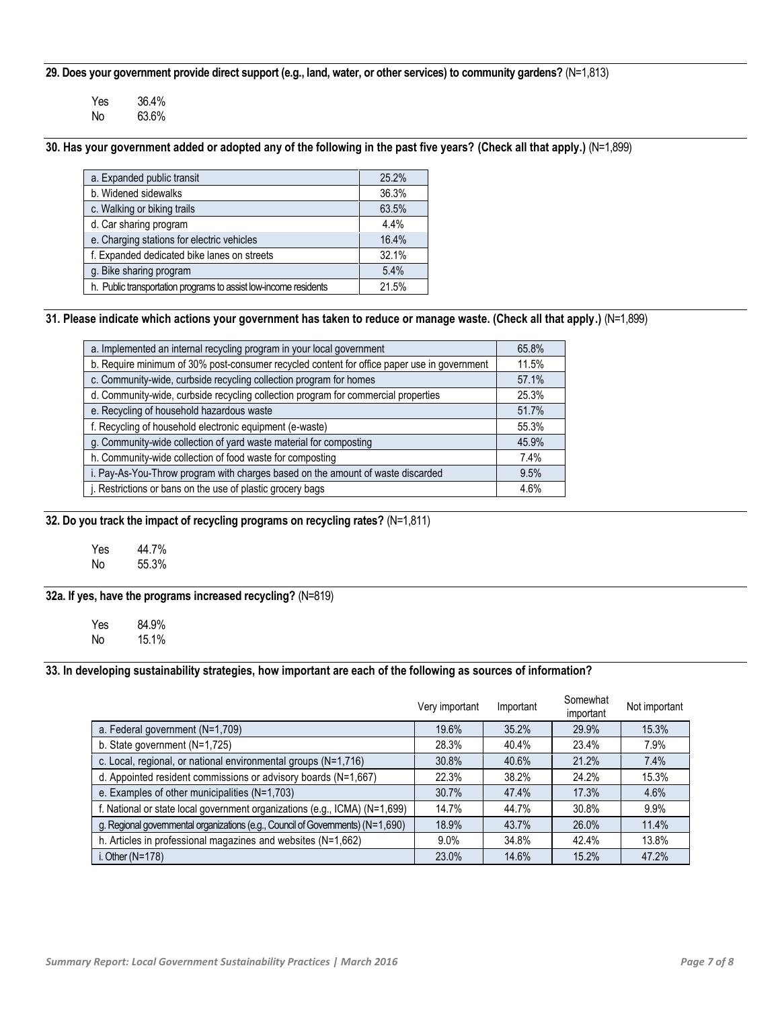**29. Does your government provide direct support (e.g., land, water, or other services) to community gardens?** (N=1,813)

| Yes | 36.4% |
|-----|-------|
| No  | 63.6% |

# **30. Has your government added or adopted any of the following in the past five years? (Check all that apply.)** (N=1,899)

| a. Expanded public transit                                       | 25.2% |
|------------------------------------------------------------------|-------|
| b. Widened sidewalks                                             | 36.3% |
| c. Walking or biking trails                                      | 63.5% |
| d. Car sharing program                                           | 4.4%  |
| e. Charging stations for electric vehicles                       | 16.4% |
| f. Expanded dedicated bike lanes on streets                      | 32.1% |
| g. Bike sharing program                                          | 5.4%  |
| h. Public transportation programs to assist low-income residents | 21.5% |

# **31. Please indicate which actions your government has taken to reduce or manage waste. (Check all that apply.)** (N=1,899)

| a. Implemented an internal recycling program in your local government                       | 65.8% |
|---------------------------------------------------------------------------------------------|-------|
| b. Require minimum of 30% post-consumer recycled content for office paper use in government | 11.5% |
| c. Community-wide, curbside recycling collection program for homes                          | 57.1% |
| d. Community-wide, curbside recycling collection program for commercial properties          | 25.3% |
| e. Recycling of household hazardous waste                                                   | 51.7% |
| f. Recycling of household electronic equipment (e-waste)                                    | 55.3% |
| g. Community-wide collection of yard waste material for composting                          | 45.9% |
| h. Community-wide collection of food waste for composting                                   | 7.4%  |
| i. Pay-As-You-Throw program with charges based on the amount of waste discarded             | 9.5%  |
| j. Restrictions or bans on the use of plastic grocery bags                                  | 4.6%  |

**32. Do you track the impact of recycling programs on recycling rates?** (N=1,811)

| Yes | 44.7% |
|-----|-------|
| No  | 55.3% |

# **32a. If yes, have the programs increased recycling?** (N=819)

Yes 84.9%<br>No 15.1% No 15.1%

#### **33. In developing sustainability strategies, how important are each of the following as sources of information?**

|                                                                                 | Very important | Important | Somewhat<br>important | Not important |
|---------------------------------------------------------------------------------|----------------|-----------|-----------------------|---------------|
| a. Federal government (N=1,709)                                                 | 19.6%          | 35.2%     | 29.9%                 | 15.3%         |
| b. State government $(N=1,725)$                                                 | 28.3%          | 40.4%     | 23.4%                 | 7.9%          |
| c. Local, regional, or national environmental groups (N=1,716)                  | 30.8%          | 40.6%     | 21.2%                 | 7.4%          |
| d. Appointed resident commissions or advisory boards (N=1,667)                  | 22.3%          | 38.2%     | 24.2%                 | 15.3%         |
| e. Examples of other municipalities (N=1,703)                                   | 30.7%          | 47.4%     | 17.3%                 | 4.6%          |
| f. National or state local government organizations (e.g., ICMA) (N=1,699)      | 14.7%          | 44.7%     | 30.8%                 | 9.9%          |
| g. Regional governmental organizations (e.g., Council of Governments) (N=1,690) | 18.9%          | 43.7%     | 26.0%                 | 11.4%         |
| h. Articles in professional magazines and websites $(N=1,662)$                  | $9.0\%$        | 34.8%     | 42.4%                 | 13.8%         |
| i. Other $(N=178)$                                                              | 23.0%          | 14.6%     | 15.2%                 | 47.2%         |